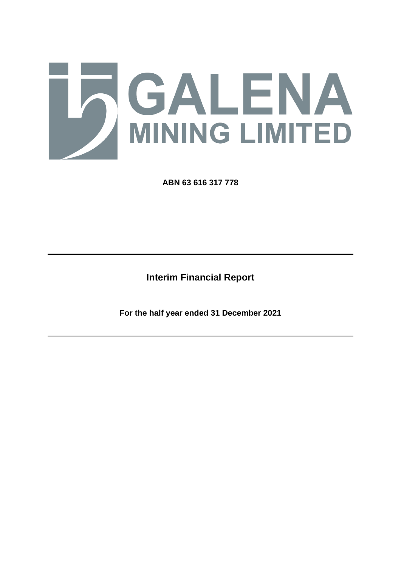

**ABN 63 616 317 778**

**Interim Financial Report**

**For the half year ended 31 December 2021**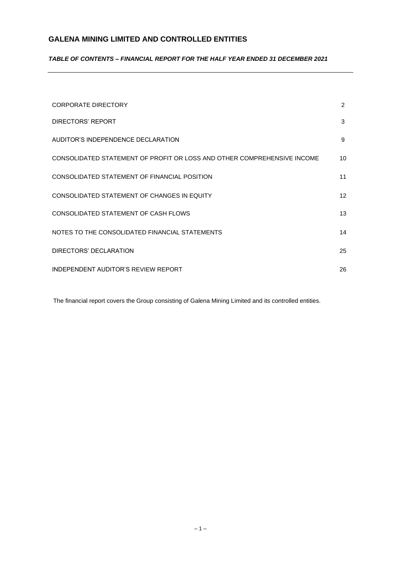## *TABLE OF CONTENTS – FINANCIAL REPORT FOR THE HALF YEAR ENDED 31 DECEMBER 2021*

| <b>CORPORATE DIRECTORY</b>                                              | $\overline{2}$  |
|-------------------------------------------------------------------------|-----------------|
| DIRECTORS' REPORT                                                       | 3               |
| AUDITOR'S INDEPENDENCE DECLARATION                                      | 9               |
| CONSOLIDATED STATEMENT OF PROFIT OR LOSS AND OTHER COMPREHENSIVE INCOME | 10              |
| CONSOLIDATED STATEMENT OF FINANCIAL POSITION                            | 11              |
| CONSOLIDATED STATEMENT OF CHANGES IN EQUITY                             | 12 <sup>2</sup> |
| CONSOLIDATED STATEMENT OF CASH FLOWS                                    | 13              |
| NOTES TO THE CONSOLIDATED FINANCIAL STATEMENTS                          | 14              |
| DIRECTORS' DECLARATION                                                  | 25              |
| INDEPENDENT AUDITOR'S REVIEW REPORT                                     | 26              |

The financial report covers the Group consisting of Galena Mining Limited and its controlled entities.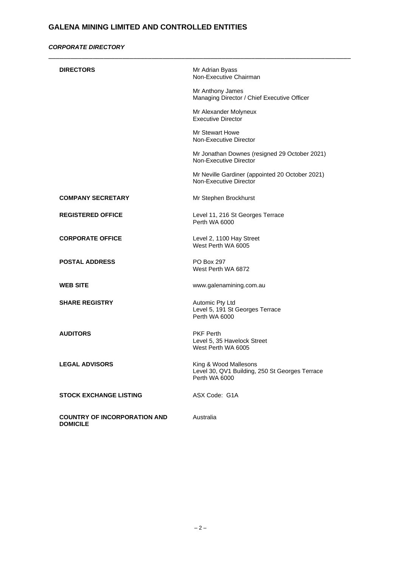## *CORPORATE DIRECTORY*

| <b>DIRECTORS</b>                                       | Mr Adrian Byass<br>Non-Executive Chairman                                                |
|--------------------------------------------------------|------------------------------------------------------------------------------------------|
|                                                        | Mr Anthony James<br>Managing Director / Chief Executive Officer                          |
|                                                        | Mr Alexander Molyneux<br><b>Executive Director</b>                                       |
|                                                        | Mr Stewart Howe<br>Non-Executive Director                                                |
|                                                        | Mr Jonathan Downes (resigned 29 October 2021)<br>Non-Executive Director                  |
|                                                        | Mr Neville Gardiner (appointed 20 October 2021)<br>Non-Executive Director                |
| <b>COMPANY SECRETARY</b>                               | Mr Stephen Brockhurst                                                                    |
| <b>REGISTERED OFFICE</b>                               | Level 11, 216 St Georges Terrace<br>Perth WA 6000                                        |
| <b>CORPORATE OFFICE</b>                                | Level 2, 1100 Hay Street<br>West Perth WA 6005                                           |
| <b>POSTAL ADDRESS</b>                                  | PO Box 297<br>West Perth WA 6872                                                         |
| <b>WEB SITE</b>                                        | www.galenamining.com.au                                                                  |
| <b>SHARE REGISTRY</b>                                  | Automic Pty Ltd<br>Level 5, 191 St Georges Terrace<br>Perth WA 6000                      |
| <b>AUDITORS</b>                                        | <b>PKF Perth</b><br>Level 5, 35 Havelock Street<br>West Perth WA 6005                    |
| <b>LEGAL ADVISORS</b>                                  | King & Wood Mallesons<br>Level 30, QV1 Building, 250 St Georges Terrace<br>Perth WA 6000 |
| <b>STOCK EXCHANGE LISTING</b>                          | ASX Code: G1A                                                                            |
| <b>COUNTRY OF INCORPORATION AND</b><br><b>DOMICILE</b> | Australia                                                                                |

\_\_\_\_\_\_\_\_\_\_\_\_\_\_\_\_\_\_\_\_\_\_\_\_\_\_\_\_\_\_\_\_\_\_\_\_\_\_\_\_\_\_\_\_\_\_\_\_\_\_\_\_\_\_\_\_\_\_\_\_\_\_\_\_\_\_\_\_\_\_\_\_\_\_\_\_\_\_\_\_\_\_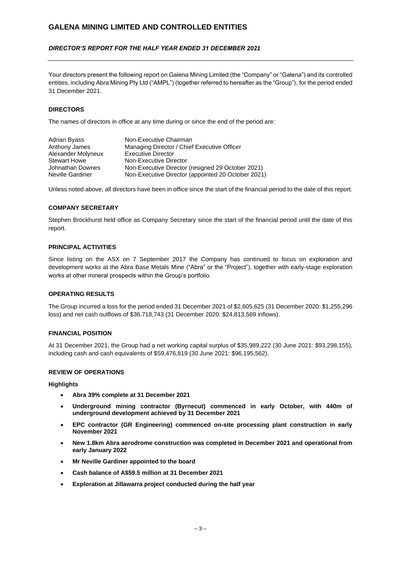## *DIRECTOR'S REPORT FOR THE HALF YEAR ENDED 31 DECEMBER 2021*

Your directors present the following report on Galena Mining Limited (the "Company" or "Galena") and its controlled entities, including Abra Mining Pty Ltd ("AMPL") (together referred to hereafter as the "Group"), for the period ended 31 December 2021.

### **DIRECTORS**

The names of directors in office at any time during or since the end of the period are:

| Adrian Byass        | Non-Executive Chairman                             |
|---------------------|----------------------------------------------------|
| Anthony James       | Managing Director / Chief Executive Officer        |
| Alexander Molyneux  | <b>Executive Director</b>                          |
| <b>Stewart Howe</b> | Non-Executive Director                             |
| Johnathan Downes    | Non-Executive Director (resigned 29 October 2021)  |
| Neville Gardiner    | Non-Executive Director (appointed 20 October 2021) |

Unless noted above, all directors have been in office since the start of the financial period to the date of this report.

### **COMPANY SECRETARY**

Stephen Brockhurst held office as Company Secretary since the start of the financial period until the date of this report.

### **PRINCIPAL ACTIVITIES**

Since listing on the ASX on 7 September 2017 the Company has continued to focus on exploration and development works at the Abra Base Metals Mine ("Abra" or the "Project"), together with early-stage exploration works at other mineral prospects within the Group's portfolio.

#### **OPERATING RESULTS**

The Group incurred a loss for the period ended 31 December 2021 of \$2,605,625 (31 December 2020: \$1,255,296 loss) and net cash outflows of \$36,718,743 (31 December 2020: \$24,813,569 inflows).

### **FINANCIAL POSITION**

At 31 December 2021, the Group had a net working capital surplus of \$35,989,222 (30 June 2021: \$93,298,155), including cash and cash equivalents of \$59,476,819 (30 June 2021: \$96,195,562).

#### **REVIEW OF OPERATIONS**

#### **Highlights**

- **Abra 39% complete at 31 December 2021**
- **Underground mining contractor (Byrnecut) commenced in early October, with 440m of underground development achieved by 31 December 2021**
- **EPC contractor (GR Engineering) commenced on-site processing plant construction in early November 2021**
- **New 1.8km Abra aerodrome construction was completed in December 2021 and operational from early January 2022**
- **Mr Neville Gardiner appointed to the board**
- **Cash balance of A\$59.5 million at 31 December 2021**
- **Exploration at Jillawarra project conducted during the half year**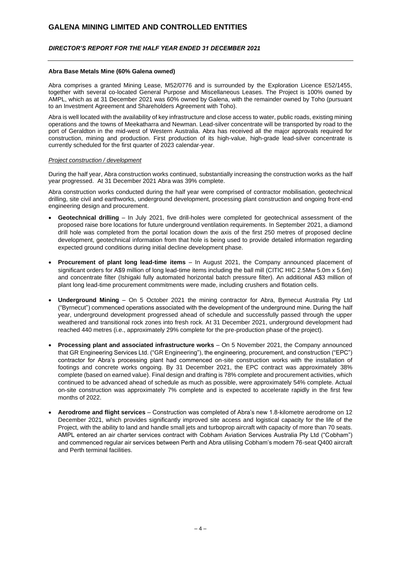### *DIRECTOR'S REPORT FOR THE HALF YEAR ENDED 31 DECEMBER 2021*

#### **Abra Base Metals Mine (60% Galena owned)**

Abra comprises a granted Mining Lease, M52/0776 and is surrounded by the Exploration Licence E52/1455, together with several co-located General Purpose and Miscellaneous Leases. The Project is 100% owned by AMPL, which as at 31 December 2021 was 60% owned by Galena, with the remainder owned by Toho (pursuant to an Investment Agreement and Shareholders Agreement with Toho).

Abra is well located with the availability of key infrastructure and close access to water, public roads, existing mining operations and the towns of Meekatharra and Newman. Lead-silver concentrate will be transported by road to the port of Geraldton in the mid-west of Western Australia. Abra has received all the major approvals required for construction, mining and production. First production of its high-value, high-grade lead-silver concentrate is currently scheduled for the first quarter of 2023 calendar-year.

#### *Project construction / development*

During the half year, Abra construction works continued, substantially increasing the construction works as the half year progressed. At 31 December 2021 Abra was 39% complete.

Abra construction works conducted during the half year were comprised of contractor mobilisation, geotechnical drilling, site civil and earthworks, underground development, processing plant construction and ongoing front-end engineering design and procurement.

- **Geotechnical drilling** In July 2021, five drill-holes were completed for geotechnical assessment of the proposed raise bore locations for future underground ventilation requirements. In September 2021, a diamond drill hole was completed from the portal location down the axis of the first 250 metres of proposed decline development, geotechnical information from that hole is being used to provide detailed information regarding expected ground conditions during initial decline development phase.
- **Procurement of plant long lead-time items** In August 2021, the Company announced placement of significant orders for A\$9 million of long lead-time items including the ball mill (CITIC HIC 2.5Mw 5.0m x 5.6m) and concentrate filter (Ishigaki fully automated horizontal batch pressure filter). An additional A\$3 million of plant long lead-time procurement commitments were made, including crushers and flotation cells.
- **Underground Mining** On 5 October 2021 the mining contractor for Abra, Byrnecut Australia Pty Ltd ("Byrnecut") commenced operations associated with the development of the underground mine. During the half year, underground development progressed ahead of schedule and successfully passed through the upper weathered and transitional rock zones into fresh rock. At 31 December 2021, underground development had reached 440 metres (i.e., approximately 29% complete for the pre-production phase of the project).
- **Processing plant and associated infrastructure works**  On 5 November 2021, the Company announced that GR Engineering Services Ltd. ("GR Engineering"), the engineering, procurement, and construction ("EPC") contractor for Abra's processing plant had commenced on-site construction works with the installation of footings and concrete works ongoing. By 31 December 2021, the EPC contract was approximately 38% complete (based on earned value). Final design and drafting is 78% complete and procurement activities, which continued to be advanced ahead of schedule as much as possible, were approximately 54% complete. Actual on-site construction was approximately 7% complete and is expected to accelerate rapidly in the first few months of 2022.
- **Aerodrome and flight services** Construction was completed of Abra's new 1.8-kilometre aerodrome on 12 December 2021, which provides significantly improved site access and logistical capacity for the life of the Project, with the ability to land and handle small jets and turboprop aircraft with capacity of more than 70 seats. AMPL entered an air charter services contract with Cobham Aviation Services Australia Pty Ltd ("Cobham") and commenced regular air services between Perth and Abra utilising Cobham's modern 76-seat Q400 aircraft and Perth terminal facilities.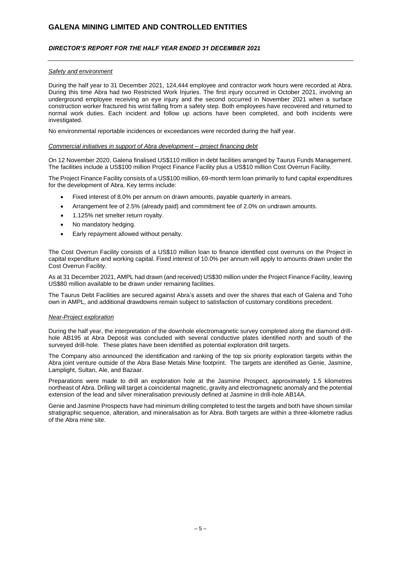## *DIRECTOR'S REPORT FOR THE HALF YEAR ENDED 31 DECEMBER 2021*

#### *Safety and environment*

During the half year to 31 December 2021, 124,444 employee and contractor work hours were recorded at Abra. During this time Abra had two Restricted Work Injuries. The first injury occurred in October 2021, involving an underground employee receiving an eye injury and the second occurred in November 2021 when a surface construction worker fractured his wrist falling from a safety step. Both employees have recovered and returned to normal work duties. Each incident and follow up actions have been completed, and both incidents were investigated.

No environmental reportable incidences or exceedances were recorded during the half year.

#### *Commercial initiatives in support of Abra development – project financing debt*

On 12 November 2020, Galena finalised US\$110 million in debt facilities arranged by Taurus Funds Management. The facilities include a US\$100 million Project Finance Facility plus a US\$10 million Cost Overrun Facility.

The Project Finance Facility consists of a US\$100 million, 69-month term loan primarily to fund capital expenditures for the development of Abra. Key terms include:

- Fixed interest of 8.0% per annum on drawn amounts, payable quarterly in arrears.
- Arrangement fee of 2.5% (already paid) and commitment fee of 2.0% on undrawn amounts.
- 1.125% net smelter return royalty.
- No mandatory hedging.
- Early repayment allowed without penalty.

The Cost Overrun Facility consists of a US\$10 million loan to finance identified cost overruns on the Project in capital expenditure and working capital. Fixed interest of 10.0% per annum will apply to amounts drawn under the Cost Overrun Facility.

As at 31 December 2021, AMPL had drawn (and received) US\$30 million under the Project Finance Facility, leaving US\$80 million available to be drawn under remaining facilities.

The Taurus Debt Facilities are secured against Abra's assets and over the shares that each of Galena and Toho own in AMPL, and additional drawdowns remain subject to satisfaction of customary conditions precedent.

#### *Near-Project exploration*

During the half year, the interpretation of the downhole electromagnetic survey completed along the diamond drillhole AB195 at Abra Deposit was concluded with several conductive plates identified north and south of the surveyed drill-hole. These plates have been identified as potential exploration drill targets.

The Company also announced the identification and ranking of the top six priority exploration targets within the Abra joint venture outside of the Abra Base Metals Mine footprint. The targets are identified as Genie, Jasmine, Lamplight, Sultan, Ale, and Bazaar.

Preparations were made to drill an exploration hole at the Jasmine Prospect, approximately 1.5 kilometres northeast of Abra. Drilling will target a coincidental magnetic, gravity and electromagnetic anomaly and the potential extension of the lead and silver mineralisation previously defined at Jasmine in drill-hole AB14A.

Genie and Jasmine Prospects have had minimum drilling completed to test the targets and both have shown similar stratigraphic sequence, alteration, and mineralisation as for Abra. Both targets are within a three-kilometre radius of the Abra mine site.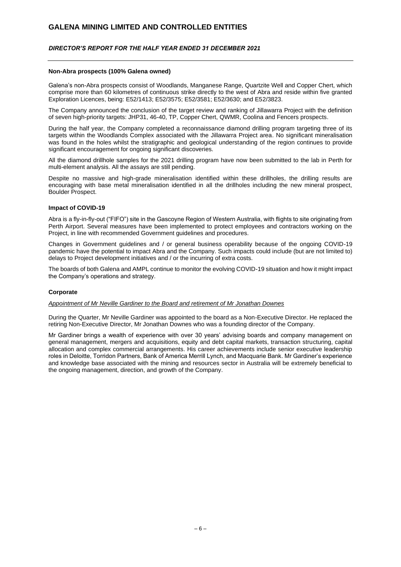### *DIRECTOR'S REPORT FOR THE HALF YEAR ENDED 31 DECEMBER 2021*

#### **Non-Abra prospects (100% Galena owned)**

Galena's non-Abra prospects consist of Woodlands, Manganese Range, Quartzite Well and Copper Chert, which comprise more than 60 kilometres of continuous strike directly to the west of Abra and reside within five granted Exploration Licences, being: E52/1413; E52/3575; E52/3581; E52/3630; and E52/3823.

The Company announced the conclusion of the target review and ranking of Jillawarra Project with the definition of seven high-priority targets: JHP31, 46-40, TP, Copper Chert, QWMR, Coolina and Fencers prospects.

During the half year, the Company completed a reconnaissance diamond drilling program targeting three of its targets within the Woodlands Complex associated with the Jillawarra Project area. No significant mineralisation was found in the holes whilst the stratigraphic and geological understanding of the region continues to provide significant encouragement for ongoing significant discoveries.

All the diamond drillhole samples for the 2021 drilling program have now been submitted to the lab in Perth for multi-element analysis. All the assays are still pending.

Despite no massive and high-grade mineralisation identified within these drillholes, the drilling results are encouraging with base metal mineralisation identified in all the drillholes including the new mineral prospect, Boulder Prospect.

#### **Impact of COVID-19**

Abra is a fly-in-fly-out ("FIFO") site in the Gascoyne Region of Western Australia, with flights to site originating from Perth Airport. Several measures have been implemented to protect employees and contractors working on the Project, in line with recommended Government guidelines and procedures.

Changes in Government guidelines and / or general business operability because of the ongoing COVID-19 pandemic have the potential to impact Abra and the Company. Such impacts could include (but are not limited to) delays to Project development initiatives and / or the incurring of extra costs.

The boards of both Galena and AMPL continue to monitor the evolving COVID-19 situation and how it might impact the Company's operations and strategy.

#### **Corporate**

## *Appointment of Mr Neville Gardiner to the Board and retirement of Mr Jonathan Downes*

During the Quarter, Mr Neville Gardiner was appointed to the board as a Non-Executive Director. He replaced the retiring Non-Executive Director, Mr Jonathan Downes who was a founding director of the Company.

Mr Gardiner brings a wealth of experience with over 30 years' advising boards and company management on general management, mergers and acquisitions, equity and debt capital markets, transaction structuring, capital allocation and complex commercial arrangements. His career achievements include senior executive leadership roles in Deloitte, Torridon Partners, Bank of America Merrill Lynch, and Macquarie Bank. Mr Gardiner's experience and knowledge base associated with the mining and resources sector in Australia will be extremely beneficial to the ongoing management, direction, and growth of the Company.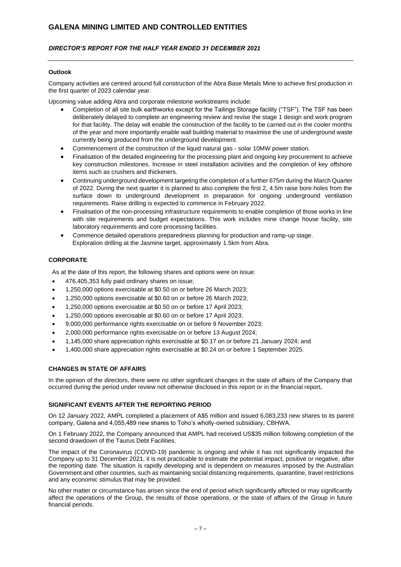## *DIRECTOR'S REPORT FOR THE HALF YEAR ENDED 31 DECEMBER 2021*

### **Outlook**

Company activities are centred around full construction of the Abra Base Metals Mine to achieve first production in the first quarter of 2023 calendar year.

Upcoming value adding Abra and corporate milestone workstreams include:

- Completion of all site bulk earthworks except for the Tailings Storage facility ("TSF"). The TSF has been deliberately delayed to complete an engineering review and revise the stage 1 design and work program for that facility. The delay will enable the construction of the facility to be carried out in the cooler months of the year and more importantly enable wall building material to maximise the use of underground waste currently being produced from the underground development.
- Commencement of the construction of the liquid natural gas solar 10MW power station.
- Finalisation of the detailed engineering for the processing plant and ongoing key procurement to achieve key construction milestones. Increase in steel installation activities and the completion of key offshore items such as crushers and thickeners.
- Continuing underground development targeting the completion of a further 675m during the March Quarter of 2022. During the next quarter it is planned to also complete the first 2, 4.5m raise bore holes from the surface down to underground development in preparation for ongoing underground ventilation requirements. Raise drilling is expected to commence in February 2022.
- Finalisation of the non-processing infrastructure requirements to enable completion of those works in line with site requirements and budget expectations. This work includes mine change house facility, site laboratory requirements and core processing facilities.
- Commence detailed operations preparedness planning for production and ramp-up stage. Exploration drilling at the Jasmine target, approximately 1.5km from Abra.

### **CORPORATE**

As at the date of this report, the following shares and options were on issue:

- 476,405,353 fully paid ordinary shares on issue;
- 1,250,000 options exercisable at \$0.50 on or before 26 March 2023;
- 1,250,000 options exercisable at \$0.60 on or before 26 March 2023;
- 1,250,000 options exercisable at \$0.50 on or before 17 April 2023;
- 1,250,000 options exercisable at \$0.60 on or before 17 April 2023;
- 9,000,000 performance rights exercisable on or before 9 November 2023;
- 2,000,000 performance rights exercisable on or before 13 August 2024;
- 1,145,000 share appreciation rights exercisable at \$0.17 on or before 21 January 2024; and
- 1,400,000 share appreciation rights exercisable at \$0.24 on or before 1 September 2025.

#### **CHANGES IN STATE OF AFFAIRS**

In the opinion of the directors, there were no other significant changes in the state of affairs of the Company that occurred during the period under review not otherwise disclosed in this report or in the financial report**.**

### **SIGNIFICANT EVENTS AFTER THE REPORTING PERIOD**

On 12 January 2022, AMPL completed a placement of A\$5 million and issued 6,083,233 new shares to its parent company, Galena and 4,055,489 new shares to Toho's wholly-owned subsidiary, CBHWA.

On 1 February 2022, the Company announced that AMPL had received US\$35 million following completion of the second drawdown of the Taurus Debt Facilities.

The impact of the Coronavirus (COVID-19) pandemic is ongoing and while it has not significantly impacted the Company up to 31 December 2021, it is not practicable to estimate the potential impact, positive or negative, after the reporting date. The situation is rapidly developing and is dependent on measures imposed by the Australian Government and other countries, such as maintaining social distancing requirements, quarantine, travel restrictions and any economic stimulus that may be provided.

No other matter or circumstance has arisen since the end of period which significantly affected or may significantly affect the operations of the Group, the results of those operations, or the state of affairs of the Group in future financial periods.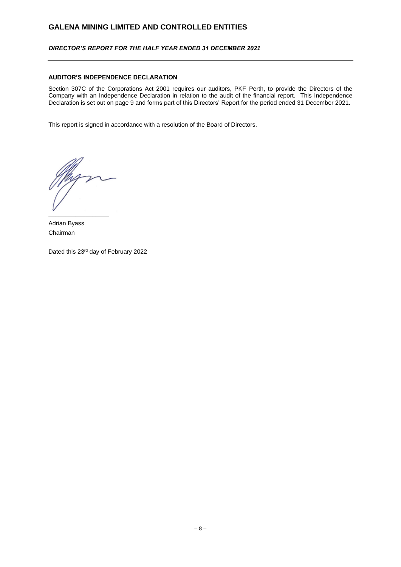## *DIRECTOR'S REPORT FOR THE HALF YEAR ENDED 31 DECEMBER 2021*

### **AUDITOR'S INDEPENDENCE DECLARATION**

Section 307C of the Corporations Act 2001 requires our auditors, PKF Perth, to provide the Directors of the Company with an Independence Declaration in relation to the audit of the financial report. This Independence Declaration is set out on page 9 and forms part of this Directors' Report for the period ended 31 December 2021.

This report is signed in accordance with a resolution of the Board of Directors.

**\_\_\_\_\_\_\_\_\_\_\_\_\_\_\_\_\_\_**

Adrian Byass Chairman

Dated this 23rd day of February 2022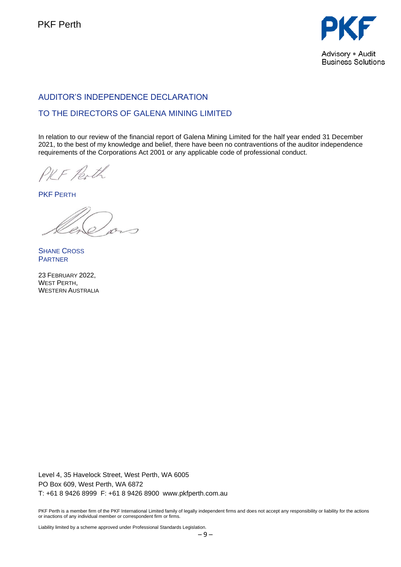

# AUDITOR'S INDEPENDENCE DECLARATION

# TO THE DIRECTORS OF GALENA MINING LIMITED

In relation to our review of the financial report of Galena Mining Limited for the half year ended 31 December 2021, to the best of my knowledge and belief, there have been no contraventions of the auditor independence requirements of the Corporations Act 2001 or any applicable code of professional conduct.

PKF Perth

PKF PERTH

**SHANE CROSS** PARTNER

23 FEBRUARY 2022, WEST PERTH, WESTERN AUSTRALIA

Level 4, 35 Havelock Street, West Perth, WA 6005 PO Box 609, West Perth, WA 6872 T: +61 8 9426 8999 F: +61 8 9426 8900 www.pkfperth.com.au

PKF Perth is a member firm of the PKF International Limited family of legally independent firms and does not accept any responsibility or liability for the actions or inactions of any individual member or correspondent firm or firms.

Liability limited by a scheme approved under Professional Standards Legislation.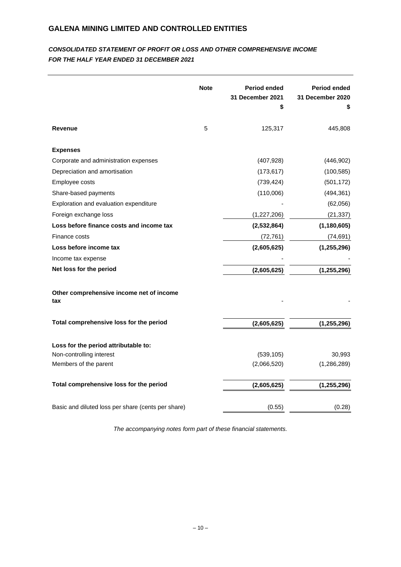# *CONSOLIDATED STATEMENT OF PROFIT OR LOSS AND OTHER COMPREHENSIVE INCOME FOR THE HALF YEAR ENDED 31 DECEMBER 2021*

|                                                    | <b>Note</b> | Period ended<br>31 December 2021<br>\$ | <b>Period ended</b><br>31 December 2020<br>\$ |
|----------------------------------------------------|-------------|----------------------------------------|-----------------------------------------------|
| <b>Revenue</b>                                     | 5           | 125,317                                | 445,808                                       |
| <b>Expenses</b>                                    |             |                                        |                                               |
| Corporate and administration expenses              |             | (407, 928)                             | (446, 902)                                    |
| Depreciation and amortisation                      |             | (173, 617)                             | (100, 585)                                    |
| Employee costs                                     |             | (739, 424)                             | (501, 172)                                    |
| Share-based payments                               |             | (110,006)                              | (494, 361)                                    |
| Exploration and evaluation expenditure             |             |                                        | (62,056)                                      |
| Foreign exchange loss                              |             | (1,227,206)                            | (21, 337)                                     |
| Loss before finance costs and income tax           |             | (2,532,864)                            | (1, 180, 605)                                 |
| Finance costs                                      |             | (72, 761)                              | (74, 691)                                     |
| Loss before income tax                             |             | (2,605,625)                            | (1, 255, 296)                                 |
| Income tax expense                                 |             |                                        |                                               |
| Net loss for the period                            |             | (2,605,625)                            | (1, 255, 296)                                 |
| Other comprehensive income net of income<br>tax    |             |                                        |                                               |
| Total comprehensive loss for the period            |             | (2,605,625)                            | (1, 255, 296)                                 |
| Loss for the period attributable to:               |             |                                        |                                               |
| Non-controlling interest                           |             | (539, 105)                             | 30,993                                        |
| Members of the parent                              |             | (2,066,520)                            | (1,286,289)                                   |
| Total comprehensive loss for the period            |             | (2,605,625)                            | (1, 255, 296)                                 |
| Basic and diluted loss per share (cents per share) |             | (0.55)                                 | (0.28)                                        |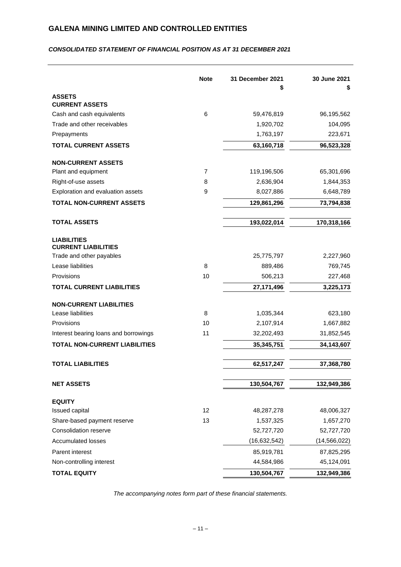# *CONSOLIDATED STATEMENT OF FINANCIAL POSITION AS AT 31 DECEMBER 2021*

|                                                  | <b>Note</b> | 31 December 2021<br>\$ | 30 June 2021<br>\$ |
|--------------------------------------------------|-------------|------------------------|--------------------|
| <b>ASSETS</b>                                    |             |                        |                    |
| <b>CURRENT ASSETS</b>                            |             |                        |                    |
| Cash and cash equivalents                        | 6           | 59,476,819             | 96,195,562         |
| Trade and other receivables                      |             | 1,920,702              | 104,095            |
| Prepayments                                      |             | 1,763,197              | 223,671            |
| <b>TOTAL CURRENT ASSETS</b>                      |             | 63,160,718             | 96,523,328         |
| <b>NON-CURRENT ASSETS</b>                        |             |                        |                    |
| Plant and equipment                              | 7           | 119,196,506            | 65,301,696         |
| Right-of-use assets                              | 8           | 2,636,904              | 1,844,353          |
| Exploration and evaluation assets                | 9           | 8,027,886              | 6,648,789          |
| <b>TOTAL NON-CURRENT ASSETS</b>                  |             | 129,861,296            | 73,794,838         |
| <b>TOTAL ASSETS</b>                              |             | 193,022,014            | 170,318,166        |
| <b>LIABILITIES</b><br><b>CURRENT LIABILITIES</b> |             |                        |                    |
| Trade and other payables                         |             | 25,775,797             | 2,227,960          |
| Lease liabilities                                | 8           | 889,486                | 769,745            |
| Provisions                                       | 10          | 506,213                | 227,468            |
| <b>TOTAL CURRENT LIABILITIES</b>                 |             | 27, 171, 496           | 3,225,173          |
| <b>NON-CURRENT LIABILITIES</b>                   |             |                        |                    |
| Lease liabilities                                | 8           | 1,035,344              | 623,180            |
| Provisions                                       | 10          | 2,107,914              | 1,667,882          |
| Interest bearing loans and borrowings            | 11          | 32,202,493             | 31,852,545         |
| <b>TOTAL NON-CURRENT LIABILITIES</b>             |             | 35,345,751             | 34,143,607         |
| <b>TOTAL LIABILITIES</b>                         |             | 62,517,247             | 37,368,780         |
| <b>NET ASSETS</b>                                |             | 130,504,767            | 132,949,386        |
|                                                  |             |                        |                    |
| <b>EQUITY</b>                                    |             |                        |                    |
| Issued capital                                   | 12          | 48,287,278             | 48,006,327         |
| Share-based payment reserve                      | 13          | 1,537,325              | 1,657,270          |
| Consolidation reserve                            |             | 52,727,720             | 52,727,720         |
| <b>Accumulated losses</b>                        |             | (16, 632, 542)         | (14,566,022)       |
| Parent interest                                  |             | 85,919,781             | 87,825,295         |
| Non-controlling interest                         |             | 44,584,986             | 45,124,091         |
| <b>TOTAL EQUITY</b>                              |             | 130,504,767            | 132,949,386        |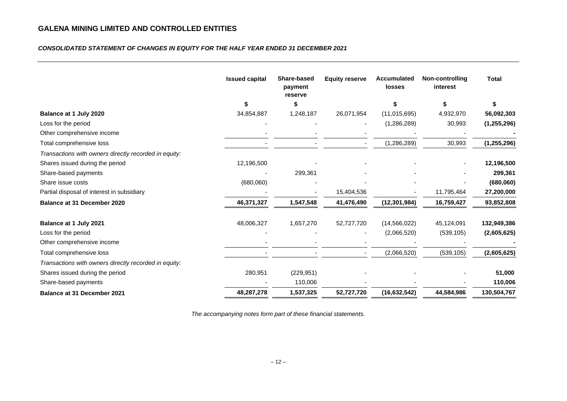## *CONSOLIDATED STATEMENT OF CHANGES IN EQUITY FOR THE HALF YEAR ENDED 31 DECEMBER 2021*

|                                                       | <b>Issued capital</b> | <b>Share-based</b><br>payment<br>reserve | <b>Equity reserve</b> | <b>Accumulated</b><br><b>losses</b> | <b>Non-controlling</b><br>interest | <b>Total</b>  |
|-------------------------------------------------------|-----------------------|------------------------------------------|-----------------------|-------------------------------------|------------------------------------|---------------|
|                                                       | \$                    | \$                                       |                       | \$                                  | \$                                 | \$            |
| Balance at 1 July 2020                                | 34,854,887            | 1,248,187                                | 26,071,954            | (11, 015, 695)                      | 4,932,970                          | 56,092,303    |
| Loss for the period                                   |                       |                                          |                       | (1,286,289)                         | 30,993                             | (1,255,296)   |
| Other comprehensive income                            |                       |                                          |                       |                                     |                                    |               |
| Total comprehensive loss                              |                       |                                          |                       | (1,286,289)                         | 30,993                             | (1, 255, 296) |
| Transactions with owners directly recorded in equity: |                       |                                          |                       |                                     |                                    |               |
| Shares issued during the period                       | 12,196,500            |                                          |                       |                                     |                                    | 12,196,500    |
| Share-based payments                                  |                       | 299,361                                  |                       |                                     |                                    | 299,361       |
| Share issue costs                                     | (680,060)             |                                          |                       |                                     |                                    | (680,060)     |
| Partial disposal of interest in subsidiary            |                       |                                          | 15,404,536            |                                     | 11,795,464                         | 27,200,000    |
| <b>Balance at 31 December 2020</b>                    | 46,371,327            | 1,547,548                                | 41,476,490            | (12, 301, 984)                      | 16,759,427                         | 93,852,808    |
| Balance at 1 July 2021                                | 48,006,327            | 1,657,270                                | 52,727,720            | (14, 566, 022)                      | 45,124,091                         | 132,949,386   |
| Loss for the period                                   |                       |                                          |                       | (2,066,520)                         | (539, 105)                         | (2,605,625)   |
| Other comprehensive income                            |                       |                                          |                       |                                     |                                    |               |
| Total comprehensive loss                              |                       |                                          |                       | (2,066,520)                         | (539, 105)                         | (2,605,625)   |
| Transactions with owners directly recorded in equity: |                       |                                          |                       |                                     |                                    |               |
| Shares issued during the period                       | 280,951               | (229, 951)                               |                       |                                     |                                    | 51,000        |
| Share-based payments                                  |                       | 110,006                                  |                       |                                     |                                    | 110,006       |
| <b>Balance at 31 December 2021</b>                    | 48,287,278            | 1,537,325                                | 52,727,720            | (16, 632, 542)                      | 44,584,986                         | 130,504,767   |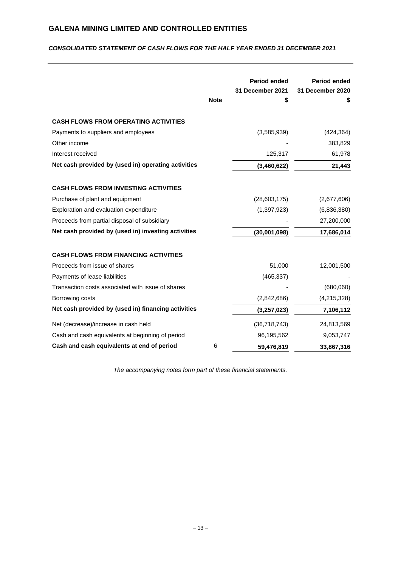## *CONSOLIDATED STATEMENT OF CASH FLOWS FOR THE HALF YEAR ENDED 31 DECEMBER 2021*

|                                                     | <b>Note</b> | <b>Period ended</b><br>31 December 2021<br>\$ | Period ended<br>31 December 2020<br>\$ |
|-----------------------------------------------------|-------------|-----------------------------------------------|----------------------------------------|
| <b>CASH FLOWS FROM OPERATING ACTIVITIES</b>         |             |                                               |                                        |
| Payments to suppliers and employees                 |             | (3,585,939)                                   | (424, 364)                             |
| Other income                                        |             |                                               | 383,829                                |
| Interest received                                   |             | 125,317                                       | 61,978                                 |
| Net cash provided by (used in) operating activities |             | (3,460,622)                                   | 21,443                                 |
| <b>CASH FLOWS FROM INVESTING ACTIVITIES</b>         |             |                                               |                                        |
| Purchase of plant and equipment                     |             | (28,603,175)                                  | (2,677,606)                            |
| Exploration and evaluation expenditure              |             | (1, 397, 923)                                 | (6,836,380)                            |
| Proceeds from partial disposal of subsidiary        |             |                                               | 27,200,000                             |
| Net cash provided by (used in) investing activities |             | (30,001,098)                                  | 17,686,014                             |
| <b>CASH FLOWS FROM FINANCING ACTIVITIES</b>         |             |                                               |                                        |
| Proceeds from issue of shares                       |             | 51,000                                        | 12,001,500                             |
| Payments of lease liabilities                       |             | (465, 337)                                    |                                        |
| Transaction costs associated with issue of shares   |             |                                               | (680,060)                              |
| Borrowing costs                                     |             | (2,842,686)                                   | (4,215,328)                            |
| Net cash provided by (used in) financing activities |             | (3, 257, 023)                                 | 7,106,112                              |
| Net (decrease)/increase in cash held                |             | (36, 718, 743)                                | 24,813,569                             |
| Cash and cash equivalents at beginning of period    |             | 96,195,562                                    | 9,053,747                              |
| Cash and cash equivalents at end of period          | 6           | 59,476,819                                    | 33,867,316                             |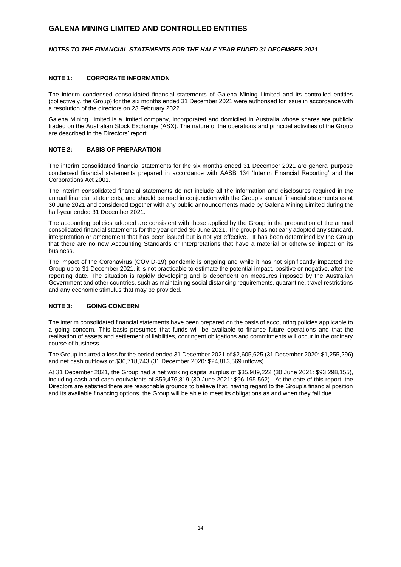### *NOTES TO THE FINANCIAL STATEMENTS FOR THE HALF YEAR ENDED 31 DECEMBER 2021*

#### **NOTE 1: CORPORATE INFORMATION**

The interim condensed consolidated financial statements of Galena Mining Limited and its controlled entities (collectively, the Group) for the six months ended 31 December 2021 were authorised for issue in accordance with a resolution of the directors on 23 February 2022.

Galena Mining Limited is a limited company, incorporated and domiciled in Australia whose shares are publicly traded on the Australian Stock Exchange (ASX). The nature of the operations and principal activities of the Group are described in the Directors' report.

### **NOTE 2: BASIS OF PREPARATION**

The interim consolidated financial statements for the six months ended 31 December 2021 are general purpose condensed financial statements prepared in accordance with AASB 134 'Interim Financial Reporting' and the Corporations Act 2001.

The interim consolidated financial statements do not include all the information and disclosures required in the annual financial statements, and should be read in conjunction with the Group's annual financial statements as at 30 June 2021 and considered together with any public announcements made by Galena Mining Limited during the half-year ended 31 December 2021.

The accounting policies adopted are consistent with those applied by the Group in the preparation of the annual consolidated financial statements for the year ended 30 June 2021. The group has not early adopted any standard, interpretation or amendment that has been issued but is not yet effective. It has been determined by the Group that there are no new Accounting Standards or Interpretations that have a material or otherwise impact on its business.

The impact of the Coronavirus (COVID-19) pandemic is ongoing and while it has not significantly impacted the Group up to 31 December 2021, it is not practicable to estimate the potential impact, positive or negative, after the reporting date. The situation is rapidly developing and is dependent on measures imposed by the Australian Government and other countries, such as maintaining social distancing requirements, quarantine, travel restrictions and any economic stimulus that may be provided.

## **NOTE 3: GOING CONCERN**

The interim consolidated financial statements have been prepared on the basis of accounting policies applicable to a going concern. This basis presumes that funds will be available to finance future operations and that the realisation of assets and settlement of liabilities, contingent obligations and commitments will occur in the ordinary course of business.

The Group incurred a loss for the period ended 31 December 2021 of \$2,605,625 (31 December 2020: \$1,255,296) and net cash outflows of \$36,718,743 (31 December 2020: \$24,813,569 inflows).

At 31 December 2021, the Group had a net working capital surplus of \$35,989,222 (30 June 2021: \$93,298,155), including cash and cash equivalents of \$59,476,819 (30 June 2021: \$96,195,562). At the date of this report, the Directors are satisfied there are reasonable grounds to believe that, having regard to the Group's financial position and its available financing options, the Group will be able to meet its obligations as and when they fall due.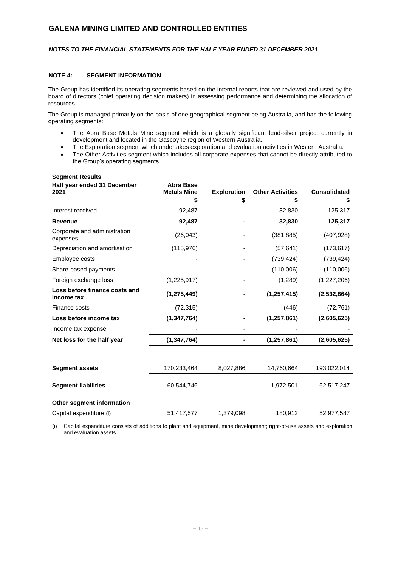## *NOTES TO THE FINANCIAL STATEMENTS FOR THE HALF YEAR ENDED 31 DECEMBER 2021*

### **NOTE 4: SEGMENT INFORMATION**

**Segment Results**

The Group has identified its operating segments based on the internal reports that are reviewed and used by the board of directors (chief operating decision makers) in assessing performance and determining the allocation of resources.

The Group is managed primarily on the basis of one geographical segment being Australia, and has the following operating segments:

- The Abra Base Metals Mine segment which is a globally significant lead-silver project currently in development and located in the Gascoyne region of Western Australia.
- The Exploration segment which undertakes exploration and evaluation activities in Western Australia.
- The Other Activities segment which includes all corporate expenses that cannot be directly attributed to the Group's operating segments.

| Half year ended 31 December<br>2021         | <b>Abra Base</b><br><b>Metals Mine</b> | <b>Exploration</b> | <b>Other Activities</b> | <b>Consolidated</b> |
|---------------------------------------------|----------------------------------------|--------------------|-------------------------|---------------------|
|                                             | \$                                     | \$                 | \$                      | S                   |
| Interest received                           | 92,487                                 |                    | 32,830                  | 125,317             |
| <b>Revenue</b>                              | 92,487                                 |                    | 32,830                  | 125,317             |
| Corporate and administration<br>expenses    | (26, 043)                              |                    | (381, 885)              | (407, 928)          |
| Depreciation and amortisation               | (115, 976)                             |                    | (57, 641)               | (173, 617)          |
| Employee costs                              |                                        |                    | (739, 424)              | (739, 424)          |
| Share-based payments                        |                                        |                    | (110,006)               | (110,006)           |
| Foreign exchange loss                       | (1,225,917)                            |                    | (1, 289)                | (1,227,206)         |
| Loss before finance costs and<br>income tax | (1, 275, 449)                          |                    | (1, 257, 415)           | (2,532,864)         |
| Finance costs                               | (72, 315)                              |                    | (446)                   | (72, 761)           |
| Loss before income tax                      | (1, 347, 764)                          |                    | (1, 257, 861)           | (2,605,625)         |
| Income tax expense                          |                                        |                    |                         |                     |
| Net loss for the half year                  | (1, 347, 764)                          |                    | (1, 257, 861)           | (2,605,625)         |
|                                             |                                        |                    |                         |                     |
| <b>Segment assets</b>                       | 170,233,464                            | 8,027,886          | 14,760,664              | 193,022,014         |
| <b>Segment liabilities</b>                  | 60,544,746                             |                    | 1,972,501               | 62,517,247          |
| Other segment information                   |                                        |                    |                         |                     |
| Capital expenditure (i)                     | 51,417,577                             | 1,379,098          | 180,912                 | 52,977,587          |

(i) Capital expenditure consists of additions to plant and equipment, mine development; right-of-use assets and exploration and evaluation assets.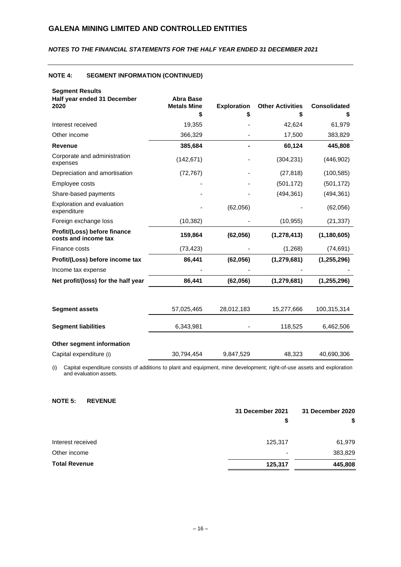## *NOTES TO THE FINANCIAL STATEMENTS FOR THE HALF YEAR ENDED 31 DECEMBER 2021*

# **NOTE 4: SEGMENT INFORMATION (CONTINUED)**

| <b>Segment Results</b>                               |                                        |                    |                         |                     |
|------------------------------------------------------|----------------------------------------|--------------------|-------------------------|---------------------|
| Half year ended 31 December<br>2020                  | <b>Abra Base</b><br><b>Metals Mine</b> | <b>Exploration</b> | <b>Other Activities</b> | <b>Consolidated</b> |
|                                                      | \$                                     | \$                 |                         | S                   |
| Interest received                                    | 19,355                                 |                    | 42,624                  | 61,979              |
| Other income                                         | 366,329                                |                    | 17,500                  | 383,829             |
| <b>Revenue</b>                                       | 385,684                                |                    | 60,124                  | 445,808             |
| Corporate and administration<br>expenses             | (142, 671)                             |                    | (304, 231)              | (446, 902)          |
| Depreciation and amortisation                        | (72, 767)                              |                    | (27, 818)               | (100, 585)          |
| Employee costs                                       |                                        |                    | (501, 172)              | (501, 172)          |
| Share-based payments                                 |                                        |                    | (494, 361)              | (494, 361)          |
| Exploration and evaluation<br>expenditure            |                                        | (62,056)           |                         | (62,056)            |
| Foreign exchange loss                                | (10, 382)                              |                    | (10, 955)               | (21, 337)           |
| Profit/(Loss) before finance<br>costs and income tax | 159,864                                | (62,056)           | (1, 278, 413)           | (1, 180, 605)       |
| Finance costs                                        | (73, 423)                              |                    | (1,268)                 | (74, 691)           |
| Profit/(Loss) before income tax                      | 86,441                                 | (62, 056)          | (1, 279, 681)           | (1, 255, 296)       |
| Income tax expense                                   |                                        |                    |                         |                     |
| Net profit/(loss) for the half year                  | 86,441                                 | (62,056)           | (1, 279, 681)           | (1,255,296)         |
|                                                      |                                        |                    |                         |                     |
| <b>Segment assets</b>                                | 57,025,465                             | 28,012,183         | 15,277,666              | 100,315,314         |
| <b>Segment liabilities</b>                           | 6,343,981                              |                    | 118,525                 | 6,462,506           |
| Other segment information                            |                                        |                    |                         |                     |
| Capital expenditure (i)                              | 30,794,454                             | 9,847,529          | 48,323                  | 40,690,306          |

(i) Capital expenditure consists of additions to plant and equipment, mine development; right-of-use assets and exploration and evaluation assets.

### **NOTE 5: REVENUE**

|                      | 31 December 2021         | 31 December 2020 |  |
|----------------------|--------------------------|------------------|--|
|                      | \$                       | \$               |  |
| Interest received    | 125,317                  | 61,979           |  |
| Other income         | $\overline{\phantom{a}}$ | 383,829          |  |
| <b>Total Revenue</b> | 125,317                  | 445,808          |  |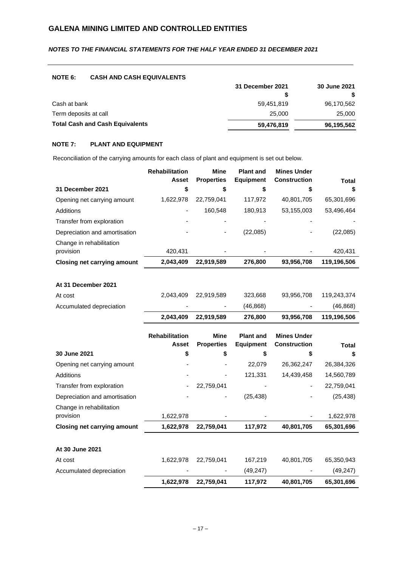## *NOTES TO THE FINANCIAL STATEMENTS FOR THE HALF YEAR ENDED 31 DECEMBER 2021*

### **NOTE 6: CASH AND CASH EQUIVALENTS**

|                                        | 31 December 2021 | 30 June 2021 |  |
|----------------------------------------|------------------|--------------|--|
|                                        |                  | S            |  |
| Cash at bank                           | 59.451.819       | 96,170,562   |  |
| Term deposits at call                  | 25,000           | 25,000       |  |
| <b>Total Cash and Cash Equivalents</b> | 59,476,819       | 96,195,562   |  |

## **NOTE 7: PLANT AND EQUIPMENT**

Reconciliation of the carrying amounts for each class of plant and equipment is set out below.

|                                    | <b>Rehabilitation</b><br>Asset | <b>Mine</b><br><b>Properties</b> | <b>Plant and</b><br><b>Equipment</b> | <b>Mines Under</b><br><b>Construction</b> | <b>Total</b> |
|------------------------------------|--------------------------------|----------------------------------|--------------------------------------|-------------------------------------------|--------------|
| 31 December 2021                   | \$                             | \$                               |                                      |                                           | S            |
| Opening net carrying amount        | 1.622.978                      | 22,759,041                       | 117,972                              | 40,801,705                                | 65,301,696   |
| Additions                          | ۰                              | 160.548                          | 180.913                              | 53,155,003                                | 53,496,464   |
| Transfer from exploration          | $\overline{\phantom{0}}$       |                                  |                                      |                                           |              |
| Depreciation and amortisation      | ٠                              | ۰                                | (22,085)                             | ٠                                         | (22,085)     |
| Change in rehabilitation           |                                |                                  |                                      |                                           |              |
| provision                          | 420,431                        |                                  |                                      |                                           | 420,431      |
| <b>Closing net carrying amount</b> | 2,043,409                      | 22,919,589                       | 276.800                              | 93,956,708                                | 119,196,506  |

## **At 31 December 2021**

|                          | 2,043,409                | 22,919,589           | 276.800   | 93,956,708 | 119,196,506 |
|--------------------------|--------------------------|----------------------|-----------|------------|-------------|
| Accumulated depreciation | $\overline{\phantom{a}}$ | $\sim$               | (46, 868) | $\sim$     | (46, 868)   |
| At cost                  |                          | 2,043,409 22,919,589 | 323.668   | 93,956,708 | 119,243,374 |

|                                    | <b>Rehabilitation</b> | <b>Mine</b>       | <b>Plant and</b> | <b>Mines Under</b>  |            |
|------------------------------------|-----------------------|-------------------|------------------|---------------------|------------|
|                                    | <b>Asset</b>          | <b>Properties</b> | <b>Equipment</b> | <b>Construction</b> | Total      |
| 30 June 2021                       | \$                    | \$                | \$               | \$                  | S          |
| Opening net carrying amount        |                       |                   | 22,079           | 26,362,247          | 26,384,326 |
| Additions                          |                       |                   | 121,331          | 14,439,458          | 14,560,789 |
| Transfer from exploration          |                       | 22,759,041        |                  |                     | 22,759,041 |
| Depreciation and amortisation      |                       |                   | (25, 438)        |                     | (25, 438)  |
| Change in rehabilitation           |                       |                   |                  |                     |            |
| provision                          | 1,622,978             |                   |                  |                     | 1,622,978  |
| <b>Closing net carrying amount</b> | 1,622,978             | 22,759,041        | 117,972          | 40,801,705          | 65,301,696 |
|                                    |                       |                   |                  |                     |            |
| At 30 June 2021                    |                       |                   |                  |                     |            |
| At cost                            | 1,622,978             | 22,759,041        | 167,219          | 40,801,705          | 65,350,943 |
| Accumulated depreciation           |                       |                   | (49, 247)        |                     | (49, 247)  |
|                                    | 1,622,978             | 22,759,041        | 117,972          | 40,801,705          | 65,301,696 |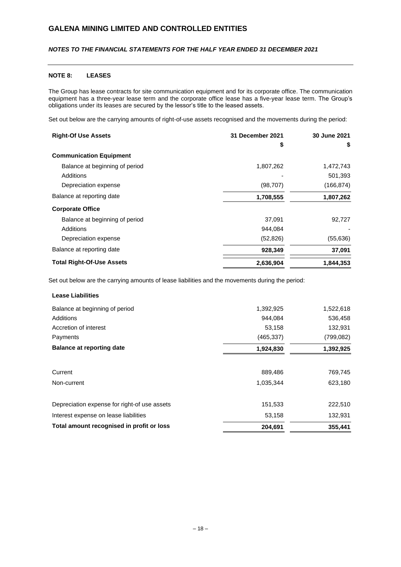## *NOTES TO THE FINANCIAL STATEMENTS FOR THE HALF YEAR ENDED 31 DECEMBER 2021*

### **NOTE 8: LEASES**

The Group has lease contracts for site communication equipment and for its corporate office. The communication equipment has a three-year lease term and the corporate office lease has a five-year lease term. The Group's obligations under its leases are secured by the lessor's title to the leased assets.

Set out below are the carrying amounts of right-of-use assets recognised and the movements during the period:

| <b>Right-Of Use Assets</b>       | 31 December 2021 | 30 June 2021 |
|----------------------------------|------------------|--------------|
|                                  | \$               | \$           |
| <b>Communication Equipment</b>   |                  |              |
| Balance at beginning of period   | 1,807,262        | 1,472,743    |
| Additions                        |                  | 501,393      |
| Depreciation expense             | (98, 707)        | (166, 874)   |
| Balance at reporting date        | 1,708,555        | 1,807,262    |
| <b>Corporate Office</b>          |                  |              |
| Balance at beginning of period   | 37.091           | 92,727       |
| Additions                        | 944,084          |              |
| Depreciation expense             | (52, 826)        | (55, 636)    |
| Balance at reporting date        | 928,349          | 37,091       |
| <b>Total Right-Of-Use Assets</b> | 2,636,904        | 1,844,353    |

Set out below are the carrying amounts of lease liabilities and the movements during the period:

| <b>Lease Liabilities</b>                     |            |           |
|----------------------------------------------|------------|-----------|
| Balance at beginning of period               | 1,392,925  | 1,522,618 |
| Additions                                    | 944,084    | 536,458   |
| Accretion of interest                        | 53,158     | 132,931   |
| Payments                                     | (465, 337) | (799,082) |
| <b>Balance at reporting date</b>             | 1,924,830  | 1,392,925 |
| Current                                      | 889,486    | 769,745   |
| Non-current                                  | 1,035,344  | 623,180   |
| Depreciation expense for right-of use assets | 151,533    | 222,510   |
| Interest expense on lease liabilities        | 53,158     | 132,931   |
| Total amount recognised in profit or loss    | 204.691    | 355,441   |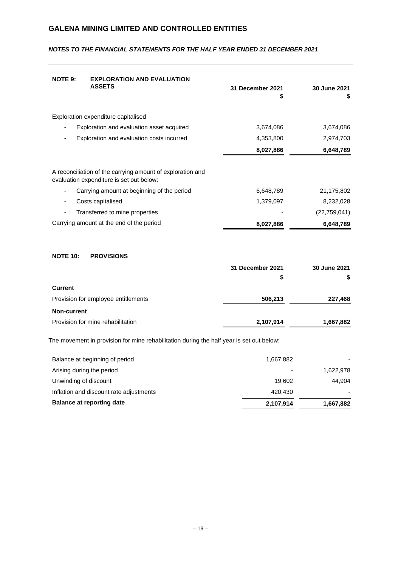| <b>NOTE 9:</b>        | <b>EXPLORATION AND EVALUATION</b><br><b>ASSETS</b>                                                     | 31 December 2021<br>\$ | 30 June 2021   |
|-----------------------|--------------------------------------------------------------------------------------------------------|------------------------|----------------|
|                       | Exploration expenditure capitalised                                                                    |                        |                |
|                       | Exploration and evaluation asset acquired                                                              | 3,674,086              | 3,674,086      |
|                       | Exploration and evaluation costs incurred                                                              | 4,353,800              | 2,974,703      |
|                       |                                                                                                        | 8,027,886              | 6,648,789      |
|                       | A reconciliation of the carrying amount of exploration and<br>evaluation expenditure is set out below: |                        |                |
|                       | Carrying amount at beginning of the period                                                             | 6,648,789              | 21,175,802     |
|                       | Costs capitalised                                                                                      | 1,379,097              | 8,232,028      |
|                       | Transferred to mine properties                                                                         |                        | (22, 759, 041) |
|                       | Carrying amount at the end of the period                                                               | 8,027,886              | 6,648,789      |
| <b>NOTE 10:</b>       | <b>PROVISIONS</b>                                                                                      |                        |                |
|                       |                                                                                                        | 31 December 2021       | 30 June 2021   |
|                       |                                                                                                        | \$                     | S              |
| <b>Current</b>        |                                                                                                        |                        |                |
|                       | Provision for employee entitlements                                                                    | 506,213                | 227,468        |
| <b>Non-current</b>    |                                                                                                        |                        |                |
|                       | Provision for mine rehabilitation                                                                      | 2,107,914              | 1,667,882      |
|                       | The movement in provision for mine rehabilitation during the half year is set out below:               |                        |                |
|                       | Balance at beginning of period                                                                         | 1,667,882              |                |
|                       | Arising during the period                                                                              |                        | 1,622,978      |
| Unwinding of discount |                                                                                                        | 19,602                 | 44,904         |
|                       | Inflation and discount rate adjustments                                                                | 420,430                |                |

# *NOTES TO THE FINANCIAL STATEMENTS FOR THE HALF YEAR ENDED 31 DECEMBER 2021*

– 19 –

**Balance at reporting date 1,667,882 1,667,882**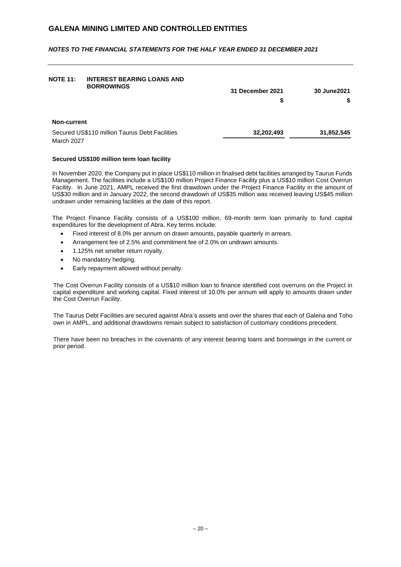*NOTES TO THE FINANCIAL STATEMENTS FOR THE HALF YEAR ENDED 31 DECEMBER 2021*

| <b>NOTE 11:</b> | <b>INTEREST BEARING LOANS AND</b><br><b>BORROWINGS</b> | 31 December 2021<br>S | 30 June 2021 |
|-----------------|--------------------------------------------------------|-----------------------|--------------|
| Non-current     |                                                        |                       |              |
| March 2027      | Secured US\$110 million Taurus Debt Facilities         | 32,202,493            | 31,852,545   |

### **Secured US\$100 million term loan facility**

In November 2020, the Company put in place US\$110 million in finalised debt facilities arranged by Taurus Funds Management. The facilities include a US\$100 million Project Finance Facility plus a US\$10 million Cost Overrun Facility. In June 2021, AMPL received the first drawdown under the Project Finance Facility in the amount of US\$30 million and in January 2022, the second drawdown of US\$35 million was received leaving US\$45 million undrawn under remaining facilities at the date of this report.

The Project Finance Facility consists of a US\$100 million, 69-month term loan primarily to fund capital expenditures for the development of Abra. Key terms include:

- Fixed interest of 8.0% per annum on drawn amounts, payable quarterly in arrears.
- Arrangement fee of 2.5% and commitment fee of 2.0% on undrawn amounts.
- 1.125% net smelter return royalty.
- No mandatory hedging.
- Early repayment allowed without penalty.

The Cost Overrun Facility consists of a US\$10 million loan to finance identified cost overruns on the Project in capital expenditure and working capital. Fixed interest of 10.0% per annum will apply to amounts drawn under the Cost Overrun Facility.

The Taurus Debt Facilities are secured against Abra's assets and over the shares that each of Galena and Toho own in AMPL, and additional drawdowns remain subject to satisfaction of customary conditions precedent.

There have been no breaches in the covenants of any interest bearing loans and borrowings in the current or prior period.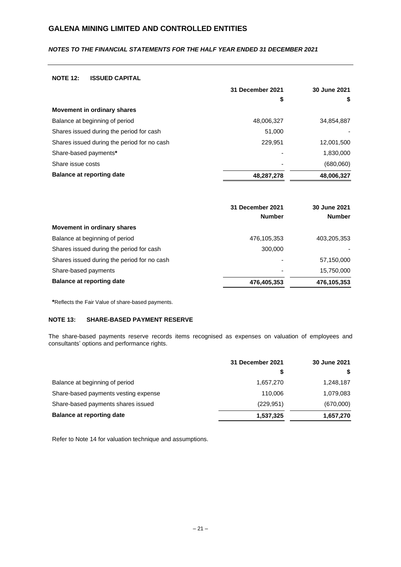## *NOTES TO THE FINANCIAL STATEMENTS FOR THE HALF YEAR ENDED 31 DECEMBER 2021*

### **NOTE 12: ISSUED CAPITAL**

|                                             | 31 December 2021 | 30 June 2021 |
|---------------------------------------------|------------------|--------------|
|                                             | \$               | \$           |
| Movement in ordinary shares                 |                  |              |
| Balance at beginning of period              | 48,006,327       | 34,854,887   |
| Shares issued during the period for cash    | 51,000           |              |
| Shares issued during the period for no cash | 229,951          | 12,001,500   |
| Share-based payments*                       |                  | 1,830,000    |
| Share issue costs                           |                  | (680,060)    |
| <b>Balance at reporting date</b>            | 48,287,278       | 48,006,327   |

|                                             | 31 December 2021<br><b>Number</b> | 30 June 2021<br><b>Number</b> |
|---------------------------------------------|-----------------------------------|-------------------------------|
| Movement in ordinary shares                 |                                   |                               |
| Balance at beginning of period              | 476,105,353                       | 403,205,353                   |
| Shares issued during the period for cash    | 300,000                           |                               |
| Shares issued during the period for no cash |                                   | 57,150,000                    |
| Share-based payments                        | ٠                                 | 15,750,000                    |
| <b>Balance at reporting date</b>            | 476,405,353                       | 476,105,353                   |

**\***Reflects the Fair Value of share-based payments.

#### **NOTE 13: SHARE-BASED PAYMENT RESERVE**

The share-based payments reserve records items recognised as expenses on valuation of employees and consultants' options and performance rights.

|                                      | 31 December 2021 | 30 June 2021 |
|--------------------------------------|------------------|--------------|
|                                      |                  | S            |
| Balance at beginning of period       | 1.657.270        | 1,248,187    |
| Share-based payments vesting expense | 110,006          | 1,079,083    |
| Share-based payments shares issued   | (229, 951)       | (670,000)    |
| <b>Balance at reporting date</b>     | 1,537,325        | 1,657,270    |

Refer to Note 14 for valuation technique and assumptions.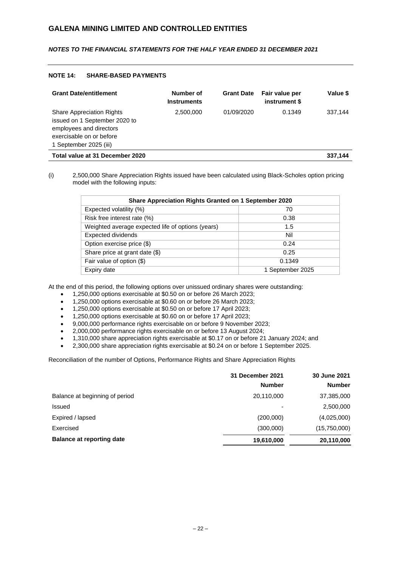## *NOTES TO THE FINANCIAL STATEMENTS FOR THE HALF YEAR ENDED 31 DECEMBER 2021*

### **NOTE 14: SHARE-BASED PAYMENTS**

| <b>Grant Date/entitlement</b>                                                                                                                      | Number of<br><b>Instruments</b> | <b>Grant Date</b> | Fair value per<br>instrument \$ | Value \$ |
|----------------------------------------------------------------------------------------------------------------------------------------------------|---------------------------------|-------------------|---------------------------------|----------|
| <b>Share Appreciation Rights</b><br>issued on 1 September 2020 to<br>employees and directors<br>exercisable on or before<br>1 September 2025 (iii) | 2,500,000                       | 01/09/2020        | 0.1349                          | 337.144  |
| Total value at 31 December 2020                                                                                                                    |                                 |                   |                                 | 337,144  |

(i) 2,500,000 Share Appreciation Rights issued have been calculated using Black-Scholes option pricing model with the following inputs:

| Share Appreciation Rights Granted on 1 September 2020 |                  |  |
|-------------------------------------------------------|------------------|--|
| Expected volatility (%)                               | 70               |  |
| Risk free interest rate (%)                           | 0.38             |  |
| Weighted average expected life of options (years)     | 1.5              |  |
| <b>Expected dividends</b>                             | Nil              |  |
| Option exercise price (\$)                            | 0.24             |  |
| Share price at grant date (\$)                        | 0.25             |  |
| Fair value of option (\$)                             | 0.1349           |  |
| Expiry date                                           | 1 September 2025 |  |

At the end of this period, the following options over unissued ordinary shares were outstanding:

- 1,250,000 options exercisable at \$0.50 on or before 26 March 2023;
- 1,250,000 options exercisable at \$0.60 on or before 26 March 2023;
- 1,250,000 options exercisable at \$0.50 on or before 17 April 2023;
- 1,250,000 options exercisable at \$0.60 on or before 17 April 2023;
- 9,000,000 performance rights exercisable on or before 9 November 2023;
- 2,000,000 performance rights exercisable on or before 13 August 2024;
- 1,310,000 share appreciation rights exercisable at \$0.17 on or before 21 January 2024; and
- 2,300,000 share appreciation rights exercisable at \$0.24 on or before 1 September 2025.

Reconciliation of the number of Options, Performance Rights and Share Appreciation Rights

|                                  | 31 December 2021         | 30 June 2021  |
|----------------------------------|--------------------------|---------------|
|                                  | <b>Number</b>            | <b>Number</b> |
| Balance at beginning of period   | 20,110,000               | 37,385,000    |
| <b>Issued</b>                    | $\overline{\phantom{0}}$ | 2,500,000     |
| Expired / lapsed                 | (200,000)                | (4,025,000)   |
| Exercised                        | (300,000)                | (15,750,000)  |
| <b>Balance at reporting date</b> | 19,610,000               | 20,110,000    |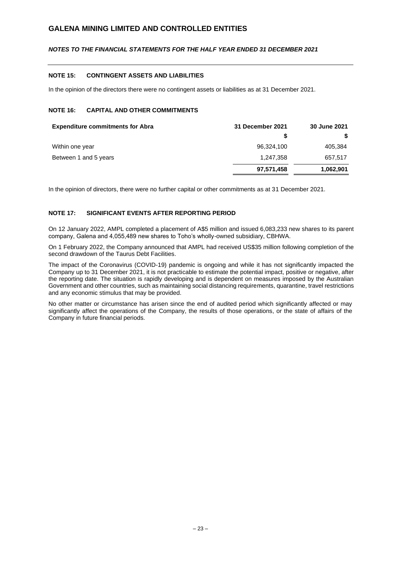## *NOTES TO THE FINANCIAL STATEMENTS FOR THE HALF YEAR ENDED 31 DECEMBER 2021*

### **NOTE 15: CONTINGENT ASSETS AND LIABILITIES**

In the opinion of the directors there were no contingent assets or liabilities as at 31 December 2021.

## **NOTE 16: CAPITAL AND OTHER COMMITMENTS**

| <b>Expenditure commitments for Abra</b> | 31 December 2021 | 30 June 2021 |
|-----------------------------------------|------------------|--------------|
|                                         |                  | S.           |
| Within one year                         | 96,324,100       | 405,384      |
| Between 1 and 5 years                   | 1,247,358        | 657,517      |
|                                         | 97,571,458       | 1,062,901    |

In the opinion of directors, there were no further capital or other commitments as at 31 December 2021.

## **NOTE 17: SIGNIFICANT EVENTS AFTER REPORTING PERIOD**

On 12 January 2022, AMPL completed a placement of A\$5 million and issued 6,083,233 new shares to its parent company, Galena and 4,055,489 new shares to Toho's wholly-owned subsidiary, CBHWA.

On 1 February 2022, the Company announced that AMPL had received US\$35 million following completion of the second drawdown of the Taurus Debt Facilities.

The impact of the Coronavirus (COVID-19) pandemic is ongoing and while it has not significantly impacted the Company up to 31 December 2021, it is not practicable to estimate the potential impact, positive or negative, after the reporting date. The situation is rapidly developing and is dependent on measures imposed by the Australian Government and other countries, such as maintaining social distancing requirements, quarantine, travel restrictions and any economic stimulus that may be provided.

No other matter or circumstance has arisen since the end of audited period which significantly affected or may significantly affect the operations of the Company, the results of those operations, or the state of affairs of the Company in future financial periods.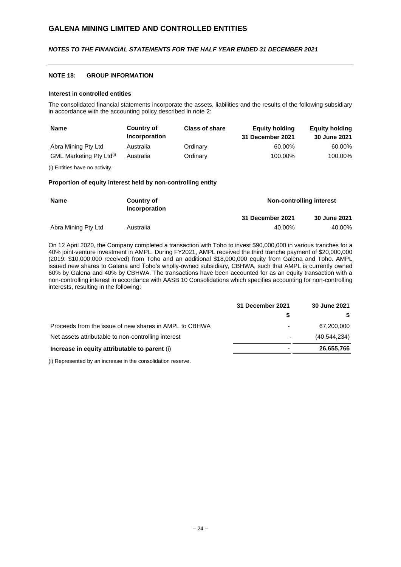## *NOTES TO THE FINANCIAL STATEMENTS FOR THE HALF YEAR ENDED 31 DECEMBER 2021*

#### **NOTE 18: GROUP INFORMATION**

### **Interest in controlled entities**

The consolidated financial statements incorporate the assets, liabilities and the results of the following subsidiary in accordance with the accounting policy described in note 2:

| <b>Name</b>                          | <b>Country of</b><br>Incorporation | <b>Class of share</b> | <b>Equity holding</b><br>31 December 2021 | <b>Equity holding</b><br>30 June 2021 |
|--------------------------------------|------------------------------------|-----------------------|-------------------------------------------|---------------------------------------|
| Abra Mining Pty Ltd                  | Australia                          | Ordinary              | 60.00%                                    | 60.00%                                |
| GML Marketing Pty Ltd <sup>(i)</sup> | Australia                          | Ordinary              | 100.00%                                   | 100.00%                               |

(i) Entities have no activity.

#### **Proportion of equity interest held by non-controlling entity**

| Name<br>Country of<br>Incorporation |                  | Non-controlling interest |        |
|-------------------------------------|------------------|--------------------------|--------|
|                                     | 31 December 2021 | 30 June 2021             |        |
| Abra Mining Pty Ltd                 | Australia        | 40.00%                   | 40.00% |

On 12 April 2020, the Company completed a transaction with Toho to invest \$90,000,000 in various tranches for a 40% joint-venture investment in AMPL. During FY2021, AMPL received the third tranche payment of \$20,000,000 (2019: \$10,000,000 received) from Toho and an additional \$18,000,000 equity from Galena and Toho. AMPL issued new shares to Galena and Toho's wholly-owned subsidiary, CBHWA, such that AMPL is currently owned 60% by Galena and 40% by CBHWA. The transactions have been accounted for as an equity transaction with a non-controlling interest in accordance with AASB 10 Consolidations which specifies accounting for non-controlling interests, resulting in the following:

|                                                        | 31 December 2021         | 30 June 2021 |
|--------------------------------------------------------|--------------------------|--------------|
|                                                        |                          | S.           |
| Proceeds from the issue of new shares in AMPL to CBHWA | $\overline{\phantom{0}}$ | 67,200,000   |
| Net assets attributable to non-controlling interest    | $\overline{a}$           | (40.544.234) |
| Increase in equity attributable to parent (i)          |                          | 26,655,766   |

(i) Represented by an increase in the consolidation reserve.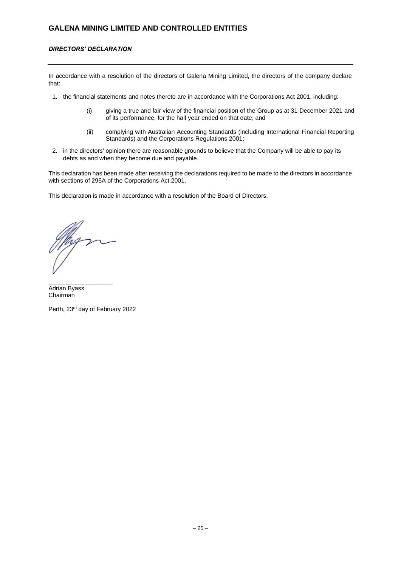## *DIRECTORS' DECLARATION*

In accordance with a resolution of the directors of Galena Mining Limited, the directors of the company declare that:

- 1. the financial statements and notes thereto are in accordance with the Corporations Act 2001, including:
	- (i) giving a true and fair view of the financial position of the Group as at 31 December 2021 and of its performance, for the half year ended on that date; and
	- (ii) complying with Australian Accounting Standards (including International Financial Reporting Standards) and the Corporations Regulations 2001;
- 2. in the directors' opinion there are reasonable grounds to believe that the Company will be able to pay its debts as and when they become due and payable.

This declaration has been made after receiving the declarations required to be made to the directors in accordance with sections of 295A of the Corporations Act 2001.

This declaration is made in accordance with a resolution of the Board of Directors.

\_\_\_\_\_\_\_\_\_\_\_\_\_\_\_\_\_\_\_ Adrian Byass Chairman

Perth, 23rd day of February 2022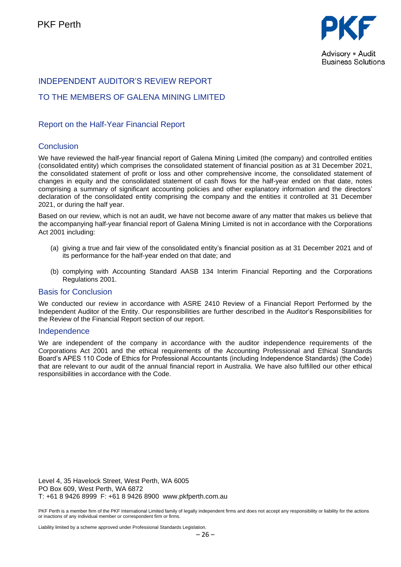

# INDEPENDENT AUDITOR'S REVIEW REPORT

# TO THE MEMBERS OF GALENA MINING LIMITED

# Report on the Half-Year Financial Report

# **Conclusion**

We have reviewed the half-year financial report of Galena Mining Limited (the company) and controlled entities (consolidated entity) which comprises the consolidated statement of financial position as at 31 December 2021, the consolidated statement of profit or loss and other comprehensive income, the consolidated statement of changes in equity and the consolidated statement of cash flows for the half-year ended on that date, notes comprising a summary of significant accounting policies and other explanatory information and the directors' declaration of the consolidated entity comprising the company and the entities it controlled at 31 December 2021, or during the half year.

Based on our review, which is not an audit, we have not become aware of any matter that makes us believe that the accompanying half-year financial report of Galena Mining Limited is not in accordance with the Corporations Act 2001 including:

- (a) giving a true and fair view of the consolidated entity's financial position as at 31 December 2021 and of its performance for the half-year ended on that date; and
- (b) complying with Accounting Standard AASB 134 Interim Financial Reporting and the Corporations Regulations 2001.

## Basis for Conclusion

We conducted our review in accordance with ASRE 2410 Review of a Financial Report Performed by the Independent Auditor of the Entity. Our responsibilities are further described in the Auditor's Responsibilities for the Review of the Financial Report section of our report.

## Independence

We are independent of the company in accordance with the auditor independence requirements of the Corporations Act 2001 and the ethical requirements of the Accounting Professional and Ethical Standards Board's APES 110 Code of Ethics for Professional Accountants (including Independence Standards) (the Code) that are relevant to our audit of the annual financial report in Australia. We have also fulfilled our other ethical responsibilities in accordance with the Code.

Level 4, 35 Havelock Street, West Perth, WA 6005 PO Box 609, West Perth, WA 6872 T: +61 8 9426 8999 F: +61 8 9426 8900 www.pkfperth.com.au

PKF Perth is a member firm of the PKF International Limited family of legally independent firms and does not accept any responsibility or liability for the actions or inactions of any individual member or correspondent firm or firms.

Liability limited by a scheme approved under Professional Standards Legislation.